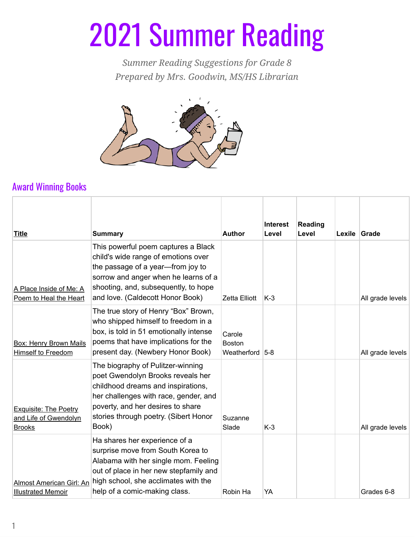## 2021 Summer Reading

*Summer Reading Suggestions for Grade 8 Prepared by Mrs. Goodwin, MS/HS Librarian*



## Award Winning Books

| <b>Title</b>                                                           | <b>Summary</b>                                                                                                                                                                                                                                         | <b>Author</b>                          | <b>Interest</b><br>Level | Reading<br>Level | Lexile Grade |                  |
|------------------------------------------------------------------------|--------------------------------------------------------------------------------------------------------------------------------------------------------------------------------------------------------------------------------------------------------|----------------------------------------|--------------------------|------------------|--------------|------------------|
| A Place Inside of Me: A<br>Poem to Heal the Heart                      | This powerful poem captures a Black<br>child's wide range of emotions over<br>the passage of a year-from joy to<br>sorrow and anger when he learns of a<br>shooting, and, subsequently, to hope<br>and love. (Caldecott Honor Book)                    | Zetta Elliott                          | $K-3$                    |                  |              | All grade levels |
| <b>Box: Henry Brown Mails</b><br>Himself to Freedom                    | The true story of Henry "Box" Brown,<br>who shipped himself to freedom in a<br>box, is told in 51 emotionally intense<br>poems that have implications for the<br>present day. (Newbery Honor Book)                                                     | Carole<br><b>Boston</b><br>Weatherford | $5-8$                    |                  |              | All grade levels |
| <b>Exquisite: The Poetry</b><br>and Life of Gwendolyn<br><b>Brooks</b> | The biography of Pulitzer-winning<br>poet Gwendolyn Brooks reveals her<br>childhood dreams and inspirations,<br>her challenges with race, gender, and<br>poverty, and her desires to share<br>stories through poetry. (Sibert Honor<br>Book)           | Suzanne<br>Slade                       | $K-3$                    |                  |              | All grade levels |
| <b>Illustrated Memoir</b>                                              | Ha shares her experience of a<br>surprise move from South Korea to<br>Alabama with her single mom. Feeling<br>out of place in her new stepfamily and<br>Almost American Girl: An high school, she acclimates with the<br>help of a comic-making class. | Robin Ha                               | YA                       |                  |              | Grades 6-8       |